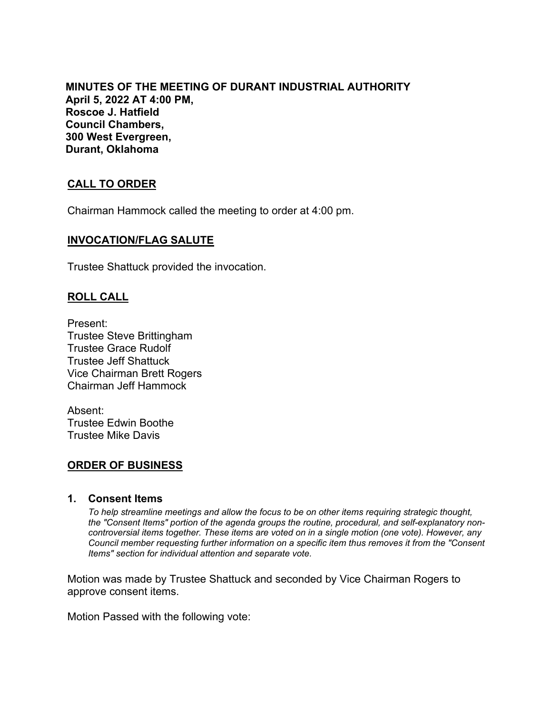**MINUTES OF THE MEETING OF DURANT INDUSTRIAL AUTHORITY April 5, 2022 AT 4:00 PM, Roscoe J. Hatfield Council Chambers, 300 West Evergreen, Durant, Oklahoma**

# **CALL TO ORDER**

Chairman Hammock called the meeting to order at 4:00 pm.

#### **INVOCATION/FLAG SALUTE**

Trustee Shattuck provided the invocation.

## **ROLL CALL**

Present: Trustee Steve Brittingham Trustee Grace Rudolf Trustee Jeff Shattuck Vice Chairman Brett Rogers Chairman Jeff Hammock

Absent: Trustee Edwin Boothe Trustee Mike Davis

## **ORDER OF BUSINESS**

#### **1. Consent Items**

*To help streamline meetings and allow the focus to be on other items requiring strategic thought, the "Consent Items" portion of the agenda groups the routine, procedural, and self-explanatory noncontroversial items together. These items are voted on in a single motion (one vote). However, any Council member requesting further information on a specific item thus removes it from the "Consent Items" section for individual attention and separate vote.*

Motion was made by Trustee Shattuck and seconded by Vice Chairman Rogers to approve consent items.

Motion Passed with the following vote: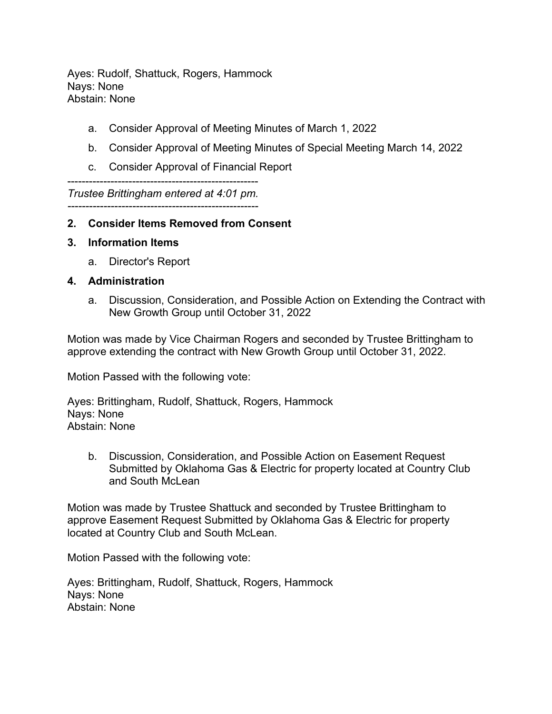Ayes: Rudolf, Shattuck, Rogers, Hammock Nays: None Abstain: None

- a. Consider Approval of Meeting Minutes of March 1, 2022
- b. Consider Approval of Meeting Minutes of Special Meeting March 14, 2022
- c. Consider Approval of Financial Report

-----------------------------------------------------

*Trustee Brittingham entered at 4:01 pm. -----------------------------------------------------*

## **2. Consider Items Removed from Consent**

- **3. Information Items**
	- a. Director's Report

#### **4. Administration**

a. Discussion, Consideration, and Possible Action on Extending the Contract with New Growth Group until October 31, 2022

Motion was made by Vice Chairman Rogers and seconded by Trustee Brittingham to approve extending the contract with New Growth Group until October 31, 2022.

Motion Passed with the following vote:

Ayes: Brittingham, Rudolf, Shattuck, Rogers, Hammock Nays: None Abstain: None

b. Discussion, Consideration, and Possible Action on Easement Request Submitted by Oklahoma Gas & Electric for property located at Country Club and South McLean

Motion was made by Trustee Shattuck and seconded by Trustee Brittingham to approve Easement Request Submitted by Oklahoma Gas & Electric for property located at Country Club and South McLean.

Motion Passed with the following vote:

Ayes: Brittingham, Rudolf, Shattuck, Rogers, Hammock Nays: None Abstain: None